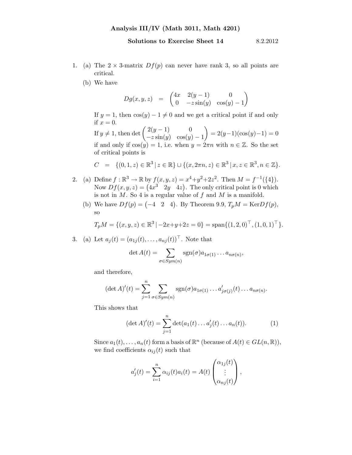- 1. (a) The  $2 \times 3$ -matrix  $Df(p)$  can never have rank 3, so all points are critical.
	- (b) We have

$$
Dg(x, y, z) = \begin{pmatrix} 4x & 2(y - 1) & 0 \\ 0 & -z \sin(y) & \cos(y) - 1 \end{pmatrix}
$$

If  $y = 1$ , then  $cos(y) - 1 \neq 0$  and we get a critical point if and only if  $x = 0$ .

If  $y \neq 1$ , then det  $\begin{pmatrix} 2(y-1) & 0 \\ -z \sin(y) & \cos(y) \end{pmatrix}$  $-z \sin(y) \cos(y) - 1$  $= 2(y-1)(\cos(y)-1) = 0$ if and only if  $cos(y) = 1$ , i.e. when  $y = 2\pi n$  with  $n \in \mathbb{Z}$ . So the set of critical points is

$$
C = \{ (0, 1, z) \in \mathbb{R}^3 \mid z \in \mathbb{R} \} \cup \{ (x, 2\pi n, z) \in \mathbb{R}^3 \mid x, z \in \mathbb{R}^3, n \in \mathbb{Z} \}.
$$

- 2. (a) Define  $f : \mathbb{R}^3 \to \mathbb{R}$  by  $f(x, y, z) = x^4 + y^2 + 2z^2$ . Then  $M = f^{-1}(\{4\})$ . Now  $Df(x, y, z) = (4x^3 \quad 2y \quad 4z)$ . The only critical point is 0 which is not in  $M$ . So 4 is a regular value of  $f$  and  $M$  is a manifold.
	- (b) We have  $Df(p) = (-4 \ 2 \ 4)$ . By Theorem 9.9,  $T_pM = \text{Ker}Df(p)$ , so

$$
T_p M = \{ (x, y, z) \in \mathbb{R}^3 \mid -2x + y + 2z = 0 \} = \text{span}\{ (1, 2, 0)^\top, (1, 0, 1)^\top \}.
$$

3. (a) Let  $a_i(t) = (a_{1i}(t), \ldots, a_{ni}(t))^{\top}$ . Note that

$$
\det A(t) = \sum_{\sigma \in Sym(n)} sgn(\sigma) a_{1\sigma(1)} \dots a_{n\sigma(n)},
$$

and therefore,

$$
(\det A)'(t) = \sum_{j=1}^n \sum_{\sigma \in Sym(n)} \text{sgn}(\sigma) a_{1\sigma(1)} \dots a'_{j\sigma(j)}(t) \dots a_{n\sigma(n)}.
$$

This shows that

$$
(\det A)'(t) = \sum_{j=1}^{n} \det(a_1(t) \dots a'_j(t) \dots a_n(t)).
$$
 (1)

Since  $a_1(t), \ldots, a_n(t)$  form a basis of  $\mathbb{R}^n$  (because of  $A(t) \in GL(n, \mathbb{R})$ ), we find coefficients  $\alpha_{ij}(t)$  such that

$$
a'_{j}(t) = \sum_{i=1}^{n} \alpha_{ij}(t) a_{i}(t) = A(t) \begin{pmatrix} \alpha_{1j}(t) \\ \vdots \\ \alpha_{nj}(t) \end{pmatrix},
$$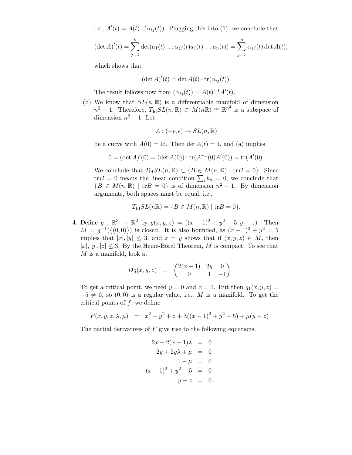i.e.,  $A'(t) = A(t) \cdot (\alpha_{ij}(t))$ . Plugging this into (1), we conclude that

$$
(\det A)'(t) = \sum_{j=1}^n \det(a_1(t) \dots \alpha_{jj}(t) a_j(t) \dots a_n(t)) = \sum_{j=1}^n \alpha_{jj}(t) \det A(t),
$$

which shows that

$$
(\det A)'(t) = \det A(t) \cdot \operatorname{tr}(\alpha_{ij}(t)).
$$

The result follows now from  $(\alpha_{ij}(t)) = A(t)^{-1}A'(t)$ .

(b) We know that  $SL(n, \mathbb{R})$  is a differentiable manifold of dimension  $n^2 - 1$ . Therefore,  $T_{\text{Id}} SL(n, \mathbb{R}) \subset M(n\mathbb{R}) \cong \mathbb{R}^{n^2}$  is a subspace of dimension  $n^2 - 1$ . Let

$$
A:(-\epsilon,\epsilon)\rightarrow SL(n,\mathbb{R})
$$

be a curve with  $A(0) = \text{Id}$ . Then  $\det A(t) = 1$ , and (a) implies

$$
0 = (\det A)'(0) = (\det A(0)) \cdot \text{tr}(A^{-1}(0)A'(0)) = \text{tr}(A'(0).
$$

We conclude that  $T_{\text{Id}}SL(n,\mathbb{R}) \subset \{B \in M(n,\mathbb{R}) \mid \text{tr}B = 0\}.$  Since tr $B = 0$  means the linear condition  $\sum_i b_{ii} = 0$ , we conclude that  ${B \in M(n,\mathbb{R}) \mid \text{tr}B = 0}$  is of dimension  $n^2 - 1$ . By dimension arguments, both spaces must be equal, i.e.,

$$
T_{\mathrm{Id}}SL(n\mathbb{R}) = \{ B \in M(n,\mathbb{R}) \mid \mathrm{tr}B = 0 \}.
$$

4. Define  $g: \mathbb{R}^3 \to \mathbb{R}^2$  by  $g(x, y, z) = ((x - 1)^2 + y^2 - 5, y - z)$ . Then  $M = g^{-1}(\{(0,0)\})$  is closed. It is also bounded, as  $(x - 1)^2 + y^2 = 5$ implies that  $|x|, |y| \leq 3$ , and  $z = y$  shows that if  $(x, y, z) \in M$ , then  $|x|, |y|, |z| \leq 3$ . By the Heine-Borel Theorem, M is compact. To see that M is a manifold, look at

$$
Dg(x, y, z) = \begin{pmatrix} 2(x - 1) & 2y & 0 \\ 0 & 1 & -1 \end{pmatrix}
$$

To get a critical point, we need  $y = 0$  and  $x = 1$ . But then  $g_1(x, y, z) =$  $-5 \neq 0$ , so  $(0, 0)$  is a regular value, i.e., M is a manifold. To get the critical points of  $f$ , we define

$$
F(x, y, z, \lambda, \mu) = x^2 + y^2 + z + \lambda((x - 1)^2 + y^2 - 5) + \mu(y - z)
$$

The partial derivatives of  $F$  give rise to the following equations.

$$
2x + 2(x - 1)\lambda = 0
$$
  
\n
$$
2y + 2y\lambda + \mu = 0
$$
  
\n
$$
1 - \mu = 0
$$
  
\n
$$
(x - 1)^2 + y^2 - 5 = 0
$$
  
\n
$$
y - z = 0.
$$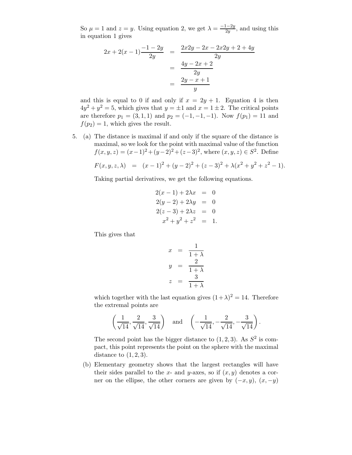So  $\mu = 1$  and  $z = y$ . Using equation 2, we get  $\lambda = \frac{-1-2y}{2y}$  $\frac{1-2y}{2y}$ , and using this in equation 1 gives

$$
2x + 2(x - 1) \frac{-1 - 2y}{2y} = \frac{2x2y - 2x - 2x2y + 2 + 4y}{2y}
$$

$$
= \frac{4y - 2x + 2}{2y}
$$

$$
= \frac{2y - x + 1}{y}
$$

and this is equal to 0 if and only if  $x = 2y + 1$ . Equation 4 is then  $4y^2 + y^2 = 5$ , which gives that  $y = \pm 1$  and  $x = 1 \pm 2$ . The critical points are therefore  $p_1 = (3, 1, 1)$  and  $p_2 = (-1, -1, -1)$ . Now  $f(p_1) = 11$  and  $f(p_2) = 1$ , which gives the result.

5. (a) The distance is maximal if and only if the square of the distance is maximal, so we look for the point with maximal value of the function  $f(x, y, z) = (x - 1)^2 + (y - 2)^2 + (z - 3)^2$ , where  $(x, y, z) \in S^2$ . Define

$$
F(x, y, z, \lambda) = (x - 1)^2 + (y - 2)^2 + (z - 3)^2 + \lambda (x^2 + y^2 + z^2 - 1).
$$

Taking partial derivatives, we get the following equations.

$$
2(x - 1) + 2\lambda x = 0
$$
  
\n
$$
2(y - 2) + 2\lambda y = 0
$$
  
\n
$$
2(z - 3) + 2\lambda z = 0
$$
  
\n
$$
x^{2} + y^{2} + z^{2} = 1.
$$

This gives that

$$
x = \frac{1}{1+\lambda}
$$
  

$$
y = \frac{2}{1+\lambda}
$$
  

$$
z = \frac{3}{1+\lambda}
$$

which together with the last equation gives  $(1+\lambda)^2 = 14$ . Therefore the extremal points are

$$
\left(\frac{1}{\sqrt{14}}, \frac{2}{\sqrt{14}}, \frac{3}{\sqrt{14}}\right)
$$
 and  $\left(-\frac{1}{\sqrt{14}}, -\frac{2}{\sqrt{14}}, -\frac{3}{\sqrt{14}}\right)$ .

The second point has the bigger distance to  $(1, 2, 3)$ . As  $S^2$  is compact, this point represents the point on the sphere with the maximal distance to  $(1, 2, 3)$ .

(b) Elementary geometry shows that the largest rectangles will have their sides parallel to the x- and y-axes, so if  $(x, y)$  denotes a corner on the ellipse, the other corners are given by  $(-x, y)$ ,  $(x, -y)$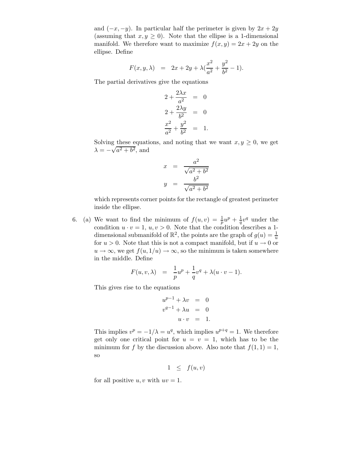and  $(-x, -y)$ . In particular half the perimeter is given by  $2x + 2y$ (assuming that  $x, y \geq 0$ ). Note that the ellipse is a 1-dimensional manifold. We therefore want to maximize  $f(x, y) = 2x + 2y$  on the ellipse. Define

$$
F(x, y, \lambda) = 2x + 2y + \lambda \left(\frac{x^2}{a^2} + \frac{y^2}{b^2} - 1\right).
$$

The partial derivatives give the equations

$$
2 + \frac{2\lambda x}{a^2} = 0
$$
  

$$
2 + \frac{2\lambda y}{b^2} = 0
$$
  

$$
\frac{x^2}{a^2} + \frac{y^2}{b^2} = 1.
$$

Solving these equations, and noting that we want  $x, y \geq 0$ , we get  $\lambda = -\sqrt{a^2 + b^2}$ , and

$$
x = \frac{a^2}{\sqrt{a^2 + b^2}}
$$

$$
y = \frac{b^2}{\sqrt{a^2 + b^2}}
$$

which represents corner points for the rectangle of greatest perimeter inside the ellipse.

6. (a) We want to find the minimum of  $f(u, v) = \frac{1}{p}u^p + \frac{1}{q}v^q$  under the condition  $u \cdot v = 1$ ,  $u, v > 0$ . Note that the condition describes a 1dimensional submanifold of  $\mathbb{R}^2$ , the points are the graph of  $g(u) = \frac{1}{u}$ for  $u > 0$ . Note that this is not a compact manifold, but if  $u \to 0$  or  $u \to \infty$ , we get  $f(u, 1/u) \to \infty$ , so the minimum is taken somewhere in the middle. Define

$$
F(u, v, \lambda) = \frac{1}{p}u^{p} + \frac{1}{q}v^{q} + \lambda(u \cdot v - 1).
$$

This gives rise to the equations

$$
u^{p-1} + \lambda v = 0
$$
  

$$
v^{q-1} + \lambda u = 0
$$
  

$$
u \cdot v = 1.
$$

This implies  $v^p = -1/\lambda = u^q$ , which implies  $u^{p+q} = 1$ . We therefore get only one critical point for  $u = v = 1$ , which has to be the minimum for f by the discussion above. Also note that  $f(1, 1) = 1$ , so

$$
1 \leq f(u,v)
$$

for all positive u, v with  $uv = 1$ .